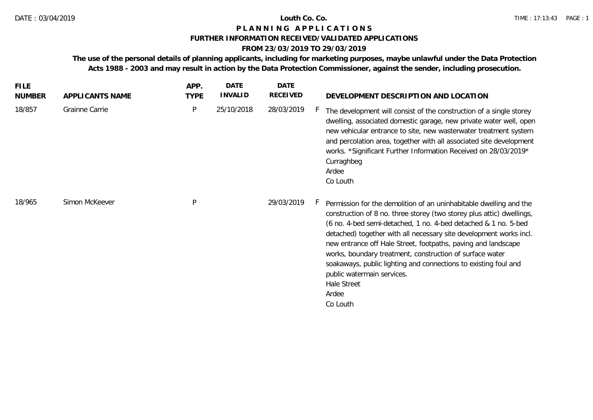# **P L A N N I N G A P P L I C A T I O N S**

### **FURTHER INFORMATION RECEIVED/VALIDATED APPLICATIONS**

# **FROM 23/03/2019 TO 29/03/2019**

**The use of the personal details of planning applicants, including for marketing purposes, maybe unlawful under the Data Protection Acts 1988 - 2003 and may result in action by the Data Protection Commissioner, against the sender, including prosecution.**

| <b>FILE</b><br><b>NUMBER</b> | APPLICANTS NAME | APP.<br><b>TYPE</b> | <b>DATE</b><br><b>INVALID</b> | DATE<br>RECEIVED | DEVELOPMENT DESCRIPTION AND LOCATION                                                                                                                                                                                                                                                                                                                                                                                                                                                                                                                  |
|------------------------------|-----------------|---------------------|-------------------------------|------------------|-------------------------------------------------------------------------------------------------------------------------------------------------------------------------------------------------------------------------------------------------------------------------------------------------------------------------------------------------------------------------------------------------------------------------------------------------------------------------------------------------------------------------------------------------------|
| 18/857                       | Grainne Carrie  | P                   | 25/10/2018                    | 28/03/2019       | The development will consist of the construction of a single storey<br>dwelling, associated domestic garage, new private water well, open<br>new vehicular entrance to site, new wasterwater treatment system<br>and percolation area, together with all associated site development<br>works. *Significant Further Information Received on 28/03/2019*<br>Curraghbeg<br>Ardee<br>Co Louth                                                                                                                                                            |
| 18/965                       | Simon McKeever  | P                   |                               | 29/03/2019       | Permission for the demolition of an uninhabitable dwelling and the<br>construction of 8 no. three storey (two storey plus attic) dwellings,<br>(6 no. 4-bed semi-detached, 1 no. 4-bed detached & 1 no. 5-bed<br>detached) together with all necessary site development works incl.<br>new entrance off Hale Street, footpaths, paving and landscape<br>works, boundary treatment, construction of surface water<br>soakaways, public lighting and connections to existing foul and<br>public watermain services.<br>Hale Street<br>Ardee<br>Co Louth |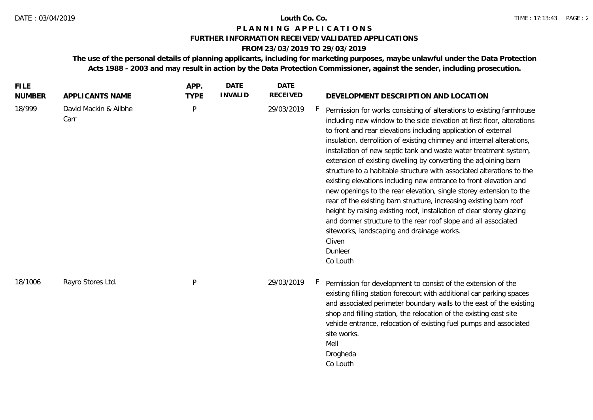# **P L A N N I N G A P P L I C A T I O N S**

### **FURTHER INFORMATION RECEIVED/VALIDATED APPLICATIONS**

## **FROM 23/03/2019 TO 29/03/2019**

**The use of the personal details of planning applicants, including for marketing purposes, maybe unlawful under the Data Protection Acts 1988 - 2003 and may result in action by the Data Protection Commissioner, against the sender, including prosecution.**

| <b>FILE</b><br><b>NUMBER</b> | APPLICANTS NAME               | APP.<br><b>TYPE</b> | <b>DATE</b><br><b>INVALID</b> | <b>DATE</b><br><b>RECEIVED</b> | DEVELOPMENT DESCRIPTION AND LOCATION                                                                                                                                                                                                                                                                                                                                                                                                                                                                                                                                                                                                                                                                                                                                                                                                                                                                                                                 |
|------------------------------|-------------------------------|---------------------|-------------------------------|--------------------------------|------------------------------------------------------------------------------------------------------------------------------------------------------------------------------------------------------------------------------------------------------------------------------------------------------------------------------------------------------------------------------------------------------------------------------------------------------------------------------------------------------------------------------------------------------------------------------------------------------------------------------------------------------------------------------------------------------------------------------------------------------------------------------------------------------------------------------------------------------------------------------------------------------------------------------------------------------|
| 18/999                       | David Mackin & Ailbhe<br>Carr | P                   |                               | 29/03/2019                     | Permission for works consisting of alterations to existing farmhouse<br>including new window to the side elevation at first floor, alterations<br>to front and rear elevations including application of external<br>insulation, demolition of existing chimney and internal alterations,<br>installation of new septic tank and waste water treatment system,<br>extension of existing dwelling by converting the adjoining barn<br>structure to a habitable structure with associated alterations to the<br>existing elevations including new entrance to front elevation and<br>new openings to the rear elevation, single storey extension to the<br>rear of the existing barn structure, increasing existing barn roof<br>height by raising existing roof, installation of clear storey glazing<br>and dormer structure to the rear roof slope and all associated<br>siteworks, landscaping and drainage works.<br>Cliven<br>Dunleer<br>Co Louth |
| 18/1006                      | Rayro Stores Ltd.             | P                   |                               | 29/03/2019                     | Permission for development to consist of the extension of the<br>existing filling station forecourt with additional car parking spaces<br>and associated perimeter boundary walls to the east of the existing<br>shop and filling station, the relocation of the existing east site<br>vehicle entrance, relocation of existing fuel pumps and associated<br>site works.<br>Mell<br>Drogheda<br>Co Louth                                                                                                                                                                                                                                                                                                                                                                                                                                                                                                                                             |